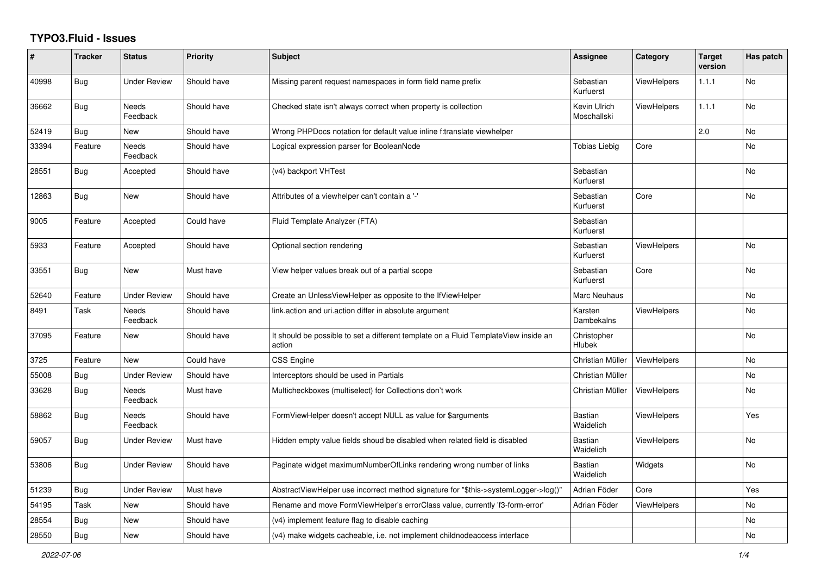## **TYPO3.Fluid - Issues**

| #     | <b>Tracker</b> | <b>Status</b>            | <b>Priority</b> | <b>Subject</b>                                                                                | Assignee                    | Category           | <b>Target</b><br>version | Has patch |
|-------|----------------|--------------------------|-----------------|-----------------------------------------------------------------------------------------------|-----------------------------|--------------------|--------------------------|-----------|
| 40998 | <b>Bug</b>     | <b>Under Review</b>      | Should have     | Missing parent request namespaces in form field name prefix                                   | Sebastian<br>Kurfuerst      | ViewHelpers        | 1.1.1                    | <b>No</b> |
| 36662 | Bug            | Needs<br>Feedback        | Should have     | Checked state isn't always correct when property is collection                                | Kevin Ulrich<br>Moschallski | <b>ViewHelpers</b> | 1.1.1                    | No        |
| 52419 | <b>Bug</b>     | <b>New</b>               | Should have     | Wrong PHPDocs notation for default value inline f:translate viewhelper                        |                             |                    | 2.0                      | <b>No</b> |
| 33394 | Feature        | <b>Needs</b><br>Feedback | Should have     | Logical expression parser for BooleanNode                                                     | <b>Tobias Liebig</b>        | Core               |                          | <b>No</b> |
| 28551 | <b>Bug</b>     | Accepted                 | Should have     | (v4) backport VHTest                                                                          | Sebastian<br>Kurfuerst      |                    |                          | No        |
| 12863 | <b>Bug</b>     | New                      | Should have     | Attributes of a viewhelper can't contain a '-'                                                | Sebastian<br>Kurfuerst      | Core               |                          | No        |
| 9005  | Feature        | Accepted                 | Could have      | Fluid Template Analyzer (FTA)                                                                 | Sebastian<br>Kurfuerst      |                    |                          |           |
| 5933  | Feature        | Accepted                 | Should have     | Optional section rendering                                                                    | Sebastian<br>Kurfuerst      | <b>ViewHelpers</b> |                          | <b>No</b> |
| 33551 | Bug            | <b>New</b>               | Must have       | View helper values break out of a partial scope                                               | Sebastian<br>Kurfuerst      | Core               |                          | <b>No</b> |
| 52640 | Feature        | <b>Under Review</b>      | Should have     | Create an UnlessViewHelper as opposite to the IfViewHelper                                    | Marc Neuhaus                |                    |                          | <b>No</b> |
| 8491  | Task           | Needs<br>Feedback        | Should have     | link.action and uri.action differ in absolute argument                                        | Karsten<br>Dambekalns       | ViewHelpers        |                          | No        |
| 37095 | Feature        | New                      | Should have     | It should be possible to set a different template on a Fluid TemplateView inside an<br>action | Christopher<br>Hlubek       |                    |                          | No        |
| 3725  | Feature        | New                      | Could have      | <b>CSS Engine</b>                                                                             | Christian Müller            | <b>ViewHelpers</b> |                          | <b>No</b> |
| 55008 | <b>Bug</b>     | <b>Under Review</b>      | Should have     | Interceptors should be used in Partials                                                       | Christian Müller            |                    |                          | No        |
| 33628 | Bug            | Needs<br>Feedback        | Must have       | Multicheckboxes (multiselect) for Collections don't work                                      | Christian Müller            | <b>ViewHelpers</b> |                          | <b>No</b> |
| 58862 | Bug            | Needs<br>Feedback        | Should have     | FormViewHelper doesn't accept NULL as value for \$arguments                                   | <b>Bastian</b><br>Waidelich | <b>ViewHelpers</b> |                          | Yes       |
| 59057 | <b>Bug</b>     | Under Review             | Must have       | Hidden empty value fields shoud be disabled when related field is disabled                    | Bastian<br>Waidelich        | ViewHelpers        |                          | No        |
| 53806 | <b>Bug</b>     | Under Review             | Should have     | Paginate widget maximumNumberOfLinks rendering wrong number of links                          | Bastian<br>Waidelich        | Widgets            |                          | <b>No</b> |
| 51239 | Bug            | <b>Under Review</b>      | Must have       | AbstractViewHelper use incorrect method signature for "\$this->systemLogger->log()"           | Adrian Föder                | Core               |                          | Yes       |
| 54195 | Task           | <b>New</b>               | Should have     | Rename and move FormViewHelper's errorClass value, currently 'f3-form-error'                  | Adrian Föder                | <b>ViewHelpers</b> |                          | <b>No</b> |
| 28554 | Bug            | New                      | Should have     | (v4) implement feature flag to disable caching                                                |                             |                    |                          | No        |
| 28550 | Bug            | New                      | Should have     | (v4) make widgets cacheable, i.e. not implement childnodeaccess interface                     |                             |                    |                          | No        |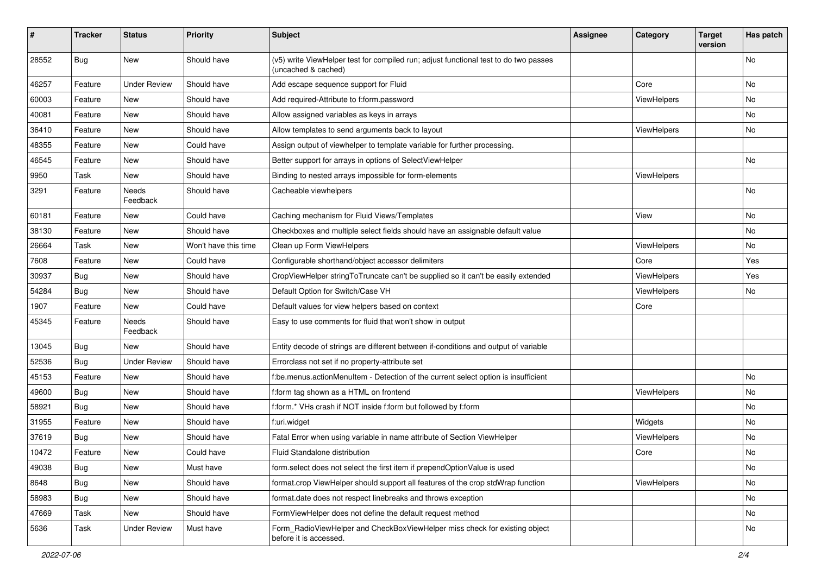| #     | <b>Tracker</b> | <b>Status</b>       | <b>Priority</b>      | Subject                                                                                                     | <b>Assignee</b> | Category    | <b>Target</b><br>version | Has patch |
|-------|----------------|---------------------|----------------------|-------------------------------------------------------------------------------------------------------------|-----------------|-------------|--------------------------|-----------|
| 28552 | Bug            | New                 | Should have          | (v5) write ViewHelper test for compiled run; adjust functional test to do two passes<br>(uncached & cached) |                 |             |                          | <b>No</b> |
| 46257 | Feature        | <b>Under Review</b> | Should have          | Add escape sequence support for Fluid                                                                       |                 | Core        |                          | No        |
| 60003 | Feature        | <b>New</b>          | Should have          | Add required-Attribute to f:form.password                                                                   |                 | ViewHelpers |                          | <b>No</b> |
| 40081 | Feature        | New                 | Should have          | Allow assigned variables as keys in arrays                                                                  |                 |             |                          | No        |
| 36410 | Feature        | <b>New</b>          | Should have          | Allow templates to send arguments back to layout                                                            |                 | ViewHelpers |                          | No        |
| 48355 | Feature        | New                 | Could have           | Assign output of viewhelper to template variable for further processing.                                    |                 |             |                          |           |
| 46545 | Feature        | <b>New</b>          | Should have          | Better support for arrays in options of SelectViewHelper                                                    |                 |             |                          | <b>No</b> |
| 9950  | Task           | New                 | Should have          | Binding to nested arrays impossible for form-elements                                                       |                 | ViewHelpers |                          |           |
| 3291  | Feature        | Needs<br>Feedback   | Should have          | Cacheable viewhelpers                                                                                       |                 |             |                          | <b>No</b> |
| 60181 | Feature        | New                 | Could have           | Caching mechanism for Fluid Views/Templates                                                                 |                 | View        |                          | <b>No</b> |
| 38130 | Feature        | New                 | Should have          | Checkboxes and multiple select fields should have an assignable default value                               |                 |             |                          | No        |
| 26664 | Task           | <b>New</b>          | Won't have this time | Clean up Form ViewHelpers                                                                                   |                 | ViewHelpers |                          | No        |
| 7608  | Feature        | New                 | Could have           | Configurable shorthand/object accessor delimiters                                                           |                 | Core        |                          | Yes       |
| 30937 | Bug            | New                 | Should have          | CropViewHelper stringToTruncate can't be supplied so it can't be easily extended                            |                 | ViewHelpers |                          | Yes       |
| 54284 | Bug            | New                 | Should have          | Default Option for Switch/Case VH                                                                           |                 | ViewHelpers |                          | No        |
| 1907  | Feature        | New                 | Could have           | Default values for view helpers based on context                                                            |                 | Core        |                          |           |
| 45345 | Feature        | Needs<br>Feedback   | Should have          | Easy to use comments for fluid that won't show in output                                                    |                 |             |                          |           |
| 13045 | Bug            | New                 | Should have          | Entity decode of strings are different between if-conditions and output of variable                         |                 |             |                          |           |
| 52536 | Bug            | <b>Under Review</b> | Should have          | Errorclass not set if no property-attribute set                                                             |                 |             |                          |           |
| 45153 | Feature        | New                 | Should have          | f:be.menus.actionMenuItem - Detection of the current select option is insufficient                          |                 |             |                          | No        |
| 49600 | Bug            | New                 | Should have          | f:form tag shown as a HTML on frontend                                                                      |                 | ViewHelpers |                          | No        |
| 58921 | Bug            | New                 | Should have          | f:form.* VHs crash if NOT inside f:form but followed by f:form                                              |                 |             |                          | No        |
| 31955 | Feature        | New                 | Should have          | f:uri.widget                                                                                                |                 | Widgets     |                          | No        |
| 37619 | Bug            | New                 | Should have          | Fatal Error when using variable in name attribute of Section ViewHelper                                     |                 | ViewHelpers |                          | <b>No</b> |
| 10472 | Feature        | New                 | Could have           | Fluid Standalone distribution                                                                               |                 | Core        |                          | No        |
| 49038 | <b>Bug</b>     | New                 | Must have            | form.select does not select the first item if prependOptionValue is used                                    |                 |             |                          | No        |
| 8648  | <b>Bug</b>     | New                 | Should have          | format.crop ViewHelper should support all features of the crop stdWrap function                             |                 | ViewHelpers |                          | No        |
| 58983 | Bug            | New                 | Should have          | format.date does not respect linebreaks and throws exception                                                |                 |             |                          | No        |
| 47669 | Task           | New                 | Should have          | FormViewHelper does not define the default request method                                                   |                 |             |                          | No        |
| 5636  | Task           | <b>Under Review</b> | Must have            | Form_RadioViewHelper and CheckBoxViewHelper miss check for existing object<br>before it is accessed.        |                 |             |                          | No        |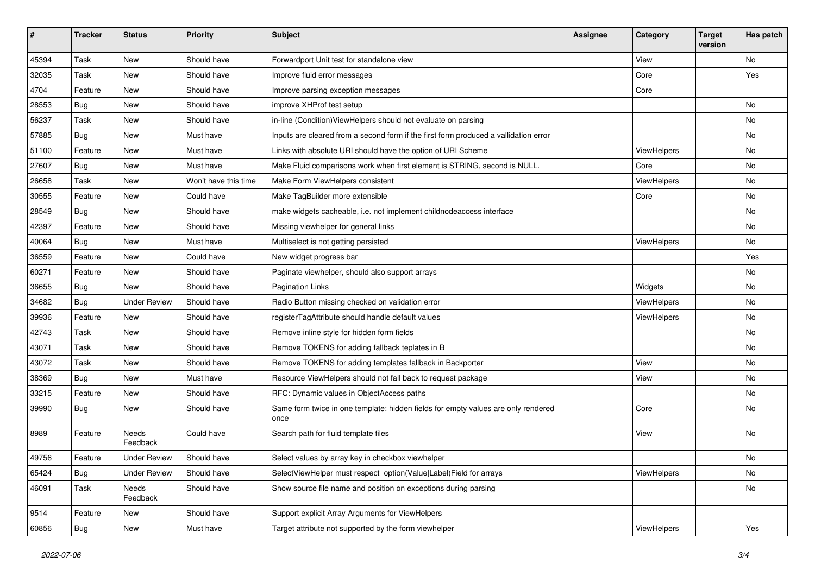| #     | <b>Tracker</b> | <b>Status</b>       | <b>Priority</b>      | <b>Subject</b>                                                                            | <b>Assignee</b> | Category    | <b>Target</b><br>version | Has patch |
|-------|----------------|---------------------|----------------------|-------------------------------------------------------------------------------------------|-----------------|-------------|--------------------------|-----------|
| 45394 | Task           | New                 | Should have          | Forwardport Unit test for standalone view                                                 |                 | View        |                          | No        |
| 32035 | Task           | New                 | Should have          | Improve fluid error messages                                                              |                 | Core        |                          | Yes       |
| 4704  | Feature        | New                 | Should have          | Improve parsing exception messages                                                        |                 | Core        |                          |           |
| 28553 | Bug            | New                 | Should have          | improve XHProf test setup                                                                 |                 |             |                          | No        |
| 56237 | Task           | New                 | Should have          | in-line (Condition) View Helpers should not evaluate on parsing                           |                 |             |                          | No        |
| 57885 | Bug            | New                 | Must have            | Inputs are cleared from a second form if the first form produced a vallidation error      |                 |             |                          | No        |
| 51100 | Feature        | New                 | Must have            | Links with absolute URI should have the option of URI Scheme                              |                 | ViewHelpers |                          | No        |
| 27607 | <b>Bug</b>     | New                 | Must have            | Make Fluid comparisons work when first element is STRING, second is NULL.                 |                 | Core        |                          | No        |
| 26658 | Task           | New                 | Won't have this time | Make Form ViewHelpers consistent                                                          |                 | ViewHelpers |                          | No        |
| 30555 | Feature        | New                 | Could have           | Make TagBuilder more extensible                                                           |                 | Core        |                          | No        |
| 28549 | Bug            | New                 | Should have          | make widgets cacheable, i.e. not implement childnodeaccess interface                      |                 |             |                          | No        |
| 42397 | Feature        | New                 | Should have          | Missing viewhelper for general links                                                      |                 |             |                          | No        |
| 40064 | Bug            | New                 | Must have            | Multiselect is not getting persisted                                                      |                 | ViewHelpers |                          | No        |
| 36559 | Feature        | New                 | Could have           | New widget progress bar                                                                   |                 |             |                          | Yes       |
| 60271 | Feature        | New                 | Should have          | Paginate viewhelper, should also support arrays                                           |                 |             |                          | No        |
| 36655 | Bug            | New                 | Should have          | <b>Pagination Links</b>                                                                   |                 | Widgets     |                          | No.       |
| 34682 | Bug            | <b>Under Review</b> | Should have          | Radio Button missing checked on validation error                                          |                 | ViewHelpers |                          | No        |
| 39936 | Feature        | New                 | Should have          | registerTagAttribute should handle default values                                         |                 | ViewHelpers |                          | No        |
| 42743 | Task           | New                 | Should have          | Remove inline style for hidden form fields                                                |                 |             |                          | No        |
| 43071 | Task           | New                 | Should have          | Remove TOKENS for adding fallback teplates in B                                           |                 |             |                          | No        |
| 43072 | Task           | New                 | Should have          | Remove TOKENS for adding templates fallback in Backporter                                 |                 | View        |                          | No        |
| 38369 | Bug            | New                 | Must have            | Resource ViewHelpers should not fall back to request package                              |                 | View        |                          | No        |
| 33215 | Feature        | New                 | Should have          | RFC: Dynamic values in ObjectAccess paths                                                 |                 |             |                          | No        |
| 39990 | Bug            | New                 | Should have          | Same form twice in one template: hidden fields for empty values are only rendered<br>once |                 | Core        |                          | No        |
| 8989  | Feature        | Needs<br>Feedback   | Could have           | Search path for fluid template files                                                      |                 | View        |                          | No        |
| 49756 | Feature        | <b>Under Review</b> | Should have          | Select values by array key in checkbox viewhelper                                         |                 |             |                          | No        |
| 65424 | Bug            | <b>Under Review</b> | Should have          | SelectViewHelper must respect option(Value Label)Field for arrays                         |                 | ViewHelpers |                          | No        |
| 46091 | Task           | Needs<br>Feedback   | Should have          | Show source file name and position on exceptions during parsing                           |                 |             |                          | No        |
| 9514  | Feature        | New                 | Should have          | Support explicit Array Arguments for ViewHelpers                                          |                 |             |                          |           |
| 60856 | <b>Bug</b>     | New                 | Must have            | Target attribute not supported by the form viewhelper                                     |                 | ViewHelpers |                          | Yes       |